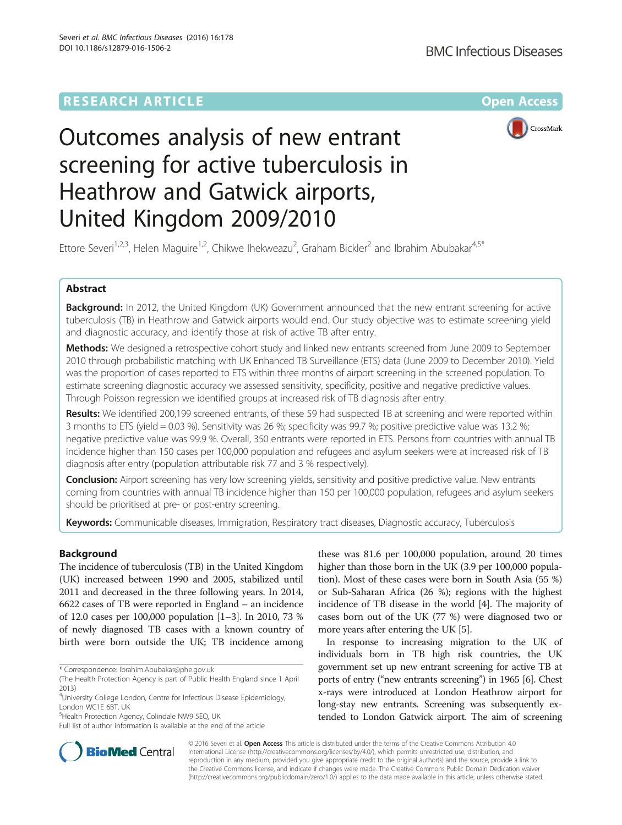# **RESEARCH ARTICLE External Structure Community Community Community Community Community Community Community Community**



# Outcomes analysis of new entrant screening for active tuberculosis in Heathrow and Gatwick airports, United Kingdom 2009/2010

Ettore Severi<sup>1,2,3</sup>, Helen Maguire<sup>1,2</sup>, Chikwe Ihekweazu<sup>2</sup>, Graham Bickler<sup>2</sup> and Ibrahim Abubakar<sup>4,5\*</sup>

# Abstract

Background: In 2012, the United Kingdom (UK) Government announced that the new entrant screening for active tuberculosis (TB) in Heathrow and Gatwick airports would end. Our study objective was to estimate screening yield and diagnostic accuracy, and identify those at risk of active TB after entry.

Methods: We designed a retrospective cohort study and linked new entrants screened from June 2009 to September 2010 through probabilistic matching with UK Enhanced TB Surveillance (ETS) data (June 2009 to December 2010). Yield was the proportion of cases reported to ETS within three months of airport screening in the screened population. To estimate screening diagnostic accuracy we assessed sensitivity, specificity, positive and negative predictive values. Through Poisson regression we identified groups at increased risk of TB diagnosis after entry.

Results: We identified 200,199 screened entrants, of these 59 had suspected TB at screening and were reported within 3 months to ETS (yield = 0.03 %). Sensitivity was 26 %; specificity was 99.7 %; positive predictive value was 13.2 %; negative predictive value was 99.9 %. Overall, 350 entrants were reported in ETS. Persons from countries with annual TB incidence higher than 150 cases per 100,000 population and refugees and asylum seekers were at increased risk of TB diagnosis after entry (population attributable risk 77 and 3 % respectively).

**Conclusion:** Airport screening has very low screening yields, sensitivity and positive predictive value. New entrants coming from countries with annual TB incidence higher than 150 per 100,000 population, refugees and asylum seekers should be prioritised at pre- or post-entry screening.

Keywords: Communicable diseases, Immigration, Respiratory tract diseases, Diagnostic accuracy, Tuberculosis

# Background

The incidence of tuberculosis (TB) in the United Kingdom (UK) increased between 1990 and 2005, stabilized until 2011 and decreased in the three following years. In 2014, 6622 cases of TB were reported in England – an incidence of 12.0 cases per 100,000 population [[1](#page-5-0)–[3](#page-5-0)]. In 2010, 73 % of newly diagnosed TB cases with a known country of birth were born outside the UK; TB incidence among

<sup>5</sup>Health Protection Agency, Colindale NW9 5EQ, UK

these was 81.6 per 100,000 population, around 20 times higher than those born in the UK (3.9 per 100,000 population). Most of these cases were born in South Asia (55 %) or Sub-Saharan Africa (26 %); regions with the highest incidence of TB disease in the world [\[4](#page-5-0)]. The majority of cases born out of the UK (77 %) were diagnosed two or more years after entering the UK [\[5\]](#page-5-0).

In response to increasing migration to the UK of individuals born in TB high risk countries, the UK government set up new entrant screening for active TB at ports of entry ("new entrants screening") in 1965 [\[6](#page-5-0)]. Chest x-rays were introduced at London Heathrow airport for long-stay new entrants. Screening was subsequently extended to London Gatwick airport. The aim of screening



© 2016 Severi et al. Open Access This article is distributed under the terms of the Creative Commons Attribution 4.0 International License [\(http://creativecommons.org/licenses/by/4.0/](http://creativecommons.org/licenses/by/4.0/)), which permits unrestricted use, distribution, and reproduction in any medium, provided you give appropriate credit to the original author(s) and the source, provide a link to the Creative Commons license, and indicate if changes were made. The Creative Commons Public Domain Dedication waiver [\(http://creativecommons.org/publicdomain/zero/1.0/](http://creativecommons.org/publicdomain/zero/1.0/)) applies to the data made available in this article, unless otherwise stated.

<sup>\*</sup> Correspondence: [Ibrahim.Abubakar@phe.gov.uk](mailto:Ibrahim.Abubakar@phe.gov.uk)

<sup>(</sup>The Health Protection Agency is part of Public Health England since 1 April 2013)

<sup>4</sup>University College London, Centre for Infectious Disease Epidemiology, London WC1E 6BT, UK

Full list of author information is available at the end of the article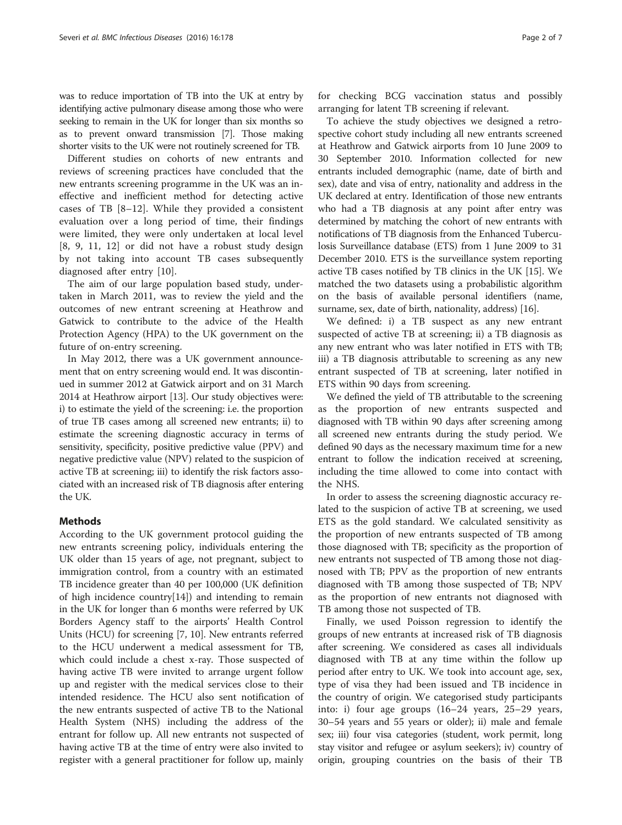was to reduce importation of TB into the UK at entry by identifying active pulmonary disease among those who were seeking to remain in the UK for longer than six months so as to prevent onward transmission [\[7\]](#page-5-0). Those making shorter visits to the UK were not routinely screened for TB.

Different studies on cohorts of new entrants and reviews of screening practices have concluded that the new entrants screening programme in the UK was an ineffective and inefficient method for detecting active cases of TB [\[8](#page-5-0)–[12\]](#page-5-0). While they provided a consistent evaluation over a long period of time, their findings were limited, they were only undertaken at local level [[8, 9](#page-5-0), [11, 12\]](#page-5-0) or did not have a robust study design by not taking into account TB cases subsequently diagnosed after entry [[10\]](#page-5-0).

The aim of our large population based study, undertaken in March 2011, was to review the yield and the outcomes of new entrant screening at Heathrow and Gatwick to contribute to the advice of the Health Protection Agency (HPA) to the UK government on the future of on-entry screening.

In May 2012, there was a UK government announcement that on entry screening would end. It was discontinued in summer 2012 at Gatwick airport and on 31 March 2014 at Heathrow airport [[13](#page-5-0)]. Our study objectives were: i) to estimate the yield of the screening: i.e. the proportion of true TB cases among all screened new entrants; ii) to estimate the screening diagnostic accuracy in terms of sensitivity, specificity, positive predictive value (PPV) and negative predictive value (NPV) related to the suspicion of active TB at screening; iii) to identify the risk factors associated with an increased risk of TB diagnosis after entering the UK.

# Methods

According to the UK government protocol guiding the new entrants screening policy, individuals entering the UK older than 15 years of age, not pregnant, subject to immigration control, from a country with an estimated TB incidence greater than 40 per 100,000 (UK definition of high incidence country[[14\]](#page-5-0)) and intending to remain in the UK for longer than 6 months were referred by UK Borders Agency staff to the airports' Health Control Units (HCU) for screening [\[7](#page-5-0), [10\]](#page-5-0). New entrants referred to the HCU underwent a medical assessment for TB, which could include a chest x-ray. Those suspected of having active TB were invited to arrange urgent follow up and register with the medical services close to their intended residence. The HCU also sent notification of the new entrants suspected of active TB to the National Health System (NHS) including the address of the entrant for follow up. All new entrants not suspected of having active TB at the time of entry were also invited to register with a general practitioner for follow up, mainly for checking BCG vaccination status and possibly arranging for latent TB screening if relevant.

To achieve the study objectives we designed a retrospective cohort study including all new entrants screened at Heathrow and Gatwick airports from 10 June 2009 to 30 September 2010. Information collected for new entrants included demographic (name, date of birth and sex), date and visa of entry, nationality and address in the UK declared at entry. Identification of those new entrants who had a TB diagnosis at any point after entry was determined by matching the cohort of new entrants with notifications of TB diagnosis from the Enhanced Tuberculosis Surveillance database (ETS) from 1 June 2009 to 31 December 2010. ETS is the surveillance system reporting active TB cases notified by TB clinics in the UK [\[15\]](#page-5-0). We matched the two datasets using a probabilistic algorithm on the basis of available personal identifiers (name, surname, sex, date of birth, nationality, address) [\[16\]](#page-5-0).

We defined: i) a TB suspect as any new entrant suspected of active TB at screening; ii) a TB diagnosis as any new entrant who was later notified in ETS with TB; iii) a TB diagnosis attributable to screening as any new entrant suspected of TB at screening, later notified in ETS within 90 days from screening.

We defined the yield of TB attributable to the screening as the proportion of new entrants suspected and diagnosed with TB within 90 days after screening among all screened new entrants during the study period. We defined 90 days as the necessary maximum time for a new entrant to follow the indication received at screening, including the time allowed to come into contact with the NHS.

In order to assess the screening diagnostic accuracy related to the suspicion of active TB at screening, we used ETS as the gold standard. We calculated sensitivity as the proportion of new entrants suspected of TB among those diagnosed with TB; specificity as the proportion of new entrants not suspected of TB among those not diagnosed with TB; PPV as the proportion of new entrants diagnosed with TB among those suspected of TB; NPV as the proportion of new entrants not diagnosed with TB among those not suspected of TB.

Finally, we used Poisson regression to identify the groups of new entrants at increased risk of TB diagnosis after screening. We considered as cases all individuals diagnosed with TB at any time within the follow up period after entry to UK. We took into account age, sex, type of visa they had been issued and TB incidence in the country of origin. We categorised study participants into: i) four age groups (16–24 years, 25–29 years, 30–54 years and 55 years or older); ii) male and female sex; iii) four visa categories (student, work permit, long stay visitor and refugee or asylum seekers); iv) country of origin, grouping countries on the basis of their TB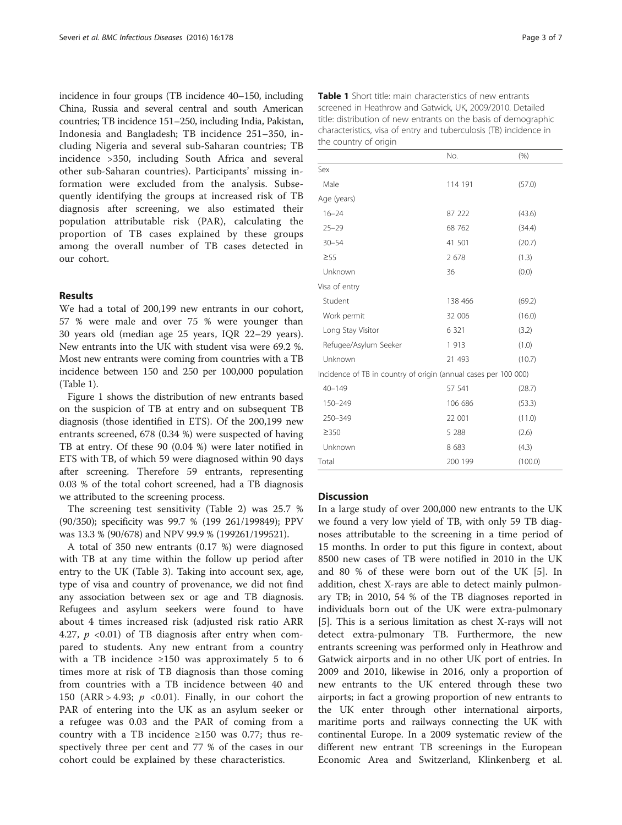incidence in four groups (TB incidence 40–150, including China, Russia and several central and south American countries; TB incidence 151–250, including India, Pakistan, Indonesia and Bangladesh; TB incidence 251–350, including Nigeria and several sub-Saharan countries; TB incidence >350, including South Africa and several other sub-Saharan countries). Participants' missing information were excluded from the analysis. Subsequently identifying the groups at increased risk of TB diagnosis after screening, we also estimated their population attributable risk (PAR), calculating the proportion of TB cases explained by these groups among the overall number of TB cases detected in our cohort.

# Results

We had a total of 200,199 new entrants in our cohort, 57 % were male and over 75 % were younger than 30 years old (median age 25 years, IQR 22–29 years). New entrants into the UK with student visa were 69.2 %. Most new entrants were coming from countries with a TB incidence between 150 and 250 per 100,000 population (Table 1).

Figure [1](#page-3-0) shows the distribution of new entrants based on the suspicion of TB at entry and on subsequent TB diagnosis (those identified in ETS). Of the 200,199 new entrants screened, 678 (0.34 %) were suspected of having TB at entry. Of these 90 (0.04 %) were later notified in ETS with TB, of which 59 were diagnosed within 90 days after screening. Therefore 59 entrants, representing 0.03 % of the total cohort screened, had a TB diagnosis we attributed to the screening process.

The screening test sensitivity (Table [2\)](#page-3-0) was 25.7 % (90/350); specificity was 99.7 % (199 261/199849); PPV was 13.3 % (90/678) and NPV 99.9 % (199261/199521).

A total of 350 new entrants (0.17 %) were diagnosed with TB at any time within the follow up period after entry to the UK (Table [3\)](#page-4-0). Taking into account sex, age, type of visa and country of provenance, we did not find any association between sex or age and TB diagnosis. Refugees and asylum seekers were found to have about 4 times increased risk (adjusted risk ratio ARR 4.27,  $p \leq 0.01$  of TB diagnosis after entry when compared to students. Any new entrant from a country with a TB incidence  $\geq 150$  was approximately 5 to 6 times more at risk of TB diagnosis than those coming from countries with a TB incidence between 40 and 150 (ARR > 4.93;  $p \le 0.01$ ). Finally, in our cohort the PAR of entering into the UK as an asylum seeker or a refugee was 0.03 and the PAR of coming from a country with a TB incidence  $\geq 150$  was 0.77; thus respectively three per cent and 77 % of the cases in our cohort could be explained by these characteristics.

| the country of origin                                           |         |        |  |  |  |  |
|-----------------------------------------------------------------|---------|--------|--|--|--|--|
|                                                                 | No.     | (% )   |  |  |  |  |
| Sex                                                             |         |        |  |  |  |  |
| Male                                                            | 114 191 | (57.0) |  |  |  |  |
| Age (years)                                                     |         |        |  |  |  |  |
| $16 - 24$                                                       | 87 222  | (43.6) |  |  |  |  |
| $25 - 29$                                                       | 68 762  | (34.4) |  |  |  |  |
| $30 - 54$                                                       | 41 501  | (20.7) |  |  |  |  |
| $\geq 55$                                                       | 2 6 7 8 | (1.3)  |  |  |  |  |
| Unknown                                                         | 36      | (0.0)  |  |  |  |  |
| Visa of entry                                                   |         |        |  |  |  |  |
| Student                                                         | 138 466 | (69.2) |  |  |  |  |
| Work permit                                                     | 32 006  | (16.0) |  |  |  |  |
| Long Stay Visitor                                               | 6 3 2 1 | (3.2)  |  |  |  |  |
| Refugee/Asylum Seeker                                           | 1913    | (1.0)  |  |  |  |  |
| Unknown                                                         | 21 493  | (10.7) |  |  |  |  |
| Incidence of TB in country of origin (annual cases per 100 000) |         |        |  |  |  |  |
| $40 - 149$                                                      | 57 541  | (28.7) |  |  |  |  |
| 150-249                                                         | 106 686 | (53.3) |  |  |  |  |
| 250-349                                                         | 22 001  | (11.0) |  |  |  |  |
| ≥350                                                            | 5 2 8 8 | (2.6)  |  |  |  |  |

Unknown 8 683 (4.3) Total 200 199 (100.0)

# Table 1 Short title: main characteristics of new entrants screened in Heathrow and Gatwick, UK, 2009/2010. Detailed title: distribution of new entrants on the basis of demographic characteristics, visa of entry and tuberculosis (TB) incidence in the country of origin

#### **Discussion**

In a large study of over 200,000 new entrants to the UK we found a very low yield of TB, with only 59 TB diagnoses attributable to the screening in a time period of 15 months. In order to put this figure in context, about 8500 new cases of TB were notified in 2010 in the UK and 80 % of these were born out of the UK [\[5](#page-5-0)]. In addition, chest X-rays are able to detect mainly pulmonary TB; in 2010, 54 % of the TB diagnoses reported in individuals born out of the UK were extra-pulmonary [[5\]](#page-5-0). This is a serious limitation as chest X-rays will not detect extra-pulmonary TB. Furthermore, the new entrants screening was performed only in Heathrow and Gatwick airports and in no other UK port of entries. In 2009 and 2010, likewise in 2016, only a proportion of new entrants to the UK entered through these two airports; in fact a growing proportion of new entrants to the UK enter through other international airports, maritime ports and railways connecting the UK with continental Europe. In a 2009 systematic review of the different new entrant TB screenings in the European Economic Area and Switzerland, Klinkenberg et al.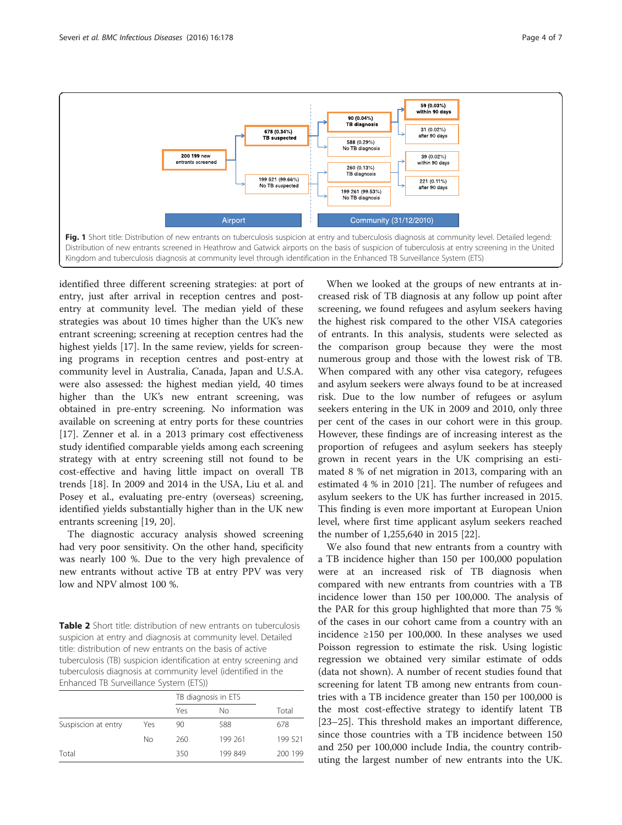<span id="page-3-0"></span>

identified three different screening strategies: at port of entry, just after arrival in reception centres and postentry at community level. The median yield of these strategies was about 10 times higher than the UK's new entrant screening; screening at reception centres had the highest yields [\[17](#page-5-0)]. In the same review, yields for screening programs in reception centres and post-entry at community level in Australia, Canada, Japan and U.S.A. were also assessed: the highest median yield, 40 times higher than the UK's new entrant screening, was obtained in pre-entry screening. No information was available on screening at entry ports for these countries [[17\]](#page-5-0). Zenner et al. in a 2013 primary cost effectiveness study identified comparable yields among each screening strategy with at entry screening still not found to be cost-effective and having little impact on overall TB trends [[18\]](#page-5-0). In 2009 and 2014 in the USA, Liu et al. and Posey et al., evaluating pre-entry (overseas) screening, identified yields substantially higher than in the UK new entrants screening [\[19, 20\]](#page-5-0).

The diagnostic accuracy analysis showed screening had very poor sensitivity. On the other hand, specificity was nearly 100 %. Due to the very high prevalence of new entrants without active TB at entry PPV was very low and NPV almost 100 %.

Table 2 Short title: distribution of new entrants on tuberculosis suspicion at entry and diagnosis at community level. Detailed title: distribution of new entrants on the basis of active tuberculosis (TB) suspicion identification at entry screening and tuberculosis diagnosis at community level (identified in the Enhanced TB Surveillance System (ETS))

|     | Yes | Nο      | Total               |
|-----|-----|---------|---------------------|
| Yes | 90  | 588     | 678                 |
| No  | 260 | 199 261 | 199 521             |
|     | 350 | 199 849 | 200 199             |
|     |     |         | TB diagnosis in ETS |

When we looked at the groups of new entrants at increased risk of TB diagnosis at any follow up point after screening, we found refugees and asylum seekers having the highest risk compared to the other VISA categories of entrants. In this analysis, students were selected as the comparison group because they were the most numerous group and those with the lowest risk of TB. When compared with any other visa category, refugees and asylum seekers were always found to be at increased risk. Due to the low number of refugees or asylum seekers entering in the UK in 2009 and 2010, only three per cent of the cases in our cohort were in this group. However, these findings are of increasing interest as the proportion of refugees and asylum seekers has steeply grown in recent years in the UK comprising an estimated 8 % of net migration in 2013, comparing with an estimated 4 % in 2010 [[21](#page-5-0)]. The number of refugees and asylum seekers to the UK has further increased in 2015. This finding is even more important at European Union level, where first time applicant asylum seekers reached the number of 1,255,640 in 2015 [[22\]](#page-6-0).

We also found that new entrants from a country with a TB incidence higher than 150 per 100,000 population were at an increased risk of TB diagnosis when compared with new entrants from countries with a TB incidence lower than 150 per 100,000. The analysis of the PAR for this group highlighted that more than 75 % of the cases in our cohort came from a country with an incidence ≥150 per 100,000. In these analyses we used Poisson regression to estimate the risk. Using logistic regression we obtained very similar estimate of odds (data not shown). A number of recent studies found that screening for latent TB among new entrants from countries with a TB incidence greater than 150 per 100,000 is the most cost-effective strategy to identify latent TB [[23](#page-6-0)–[25](#page-6-0)]. This threshold makes an important difference, since those countries with a TB incidence between 150 and 250 per 100,000 include India, the country contributing the largest number of new entrants into the UK.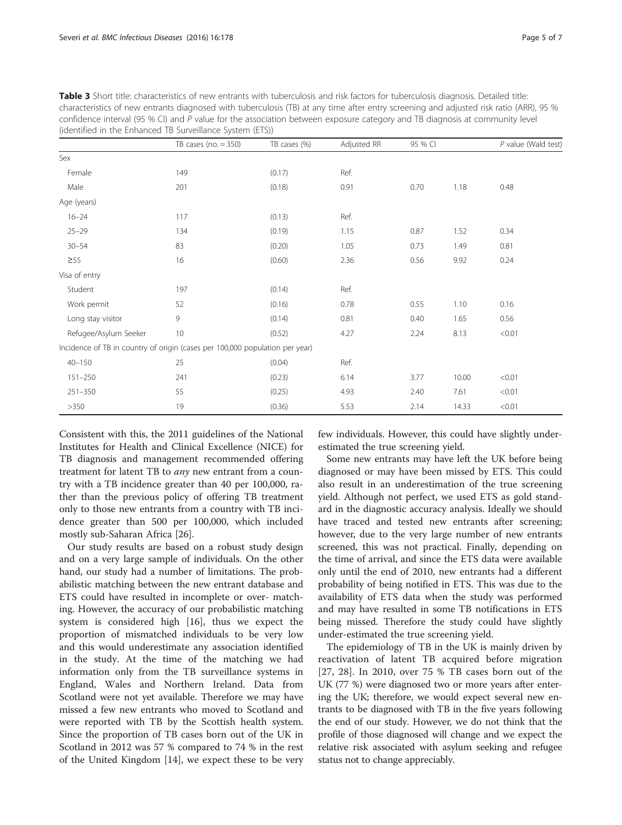| (identified in the Enhanced 1B Surveillance System (ETS))                    |                         |              |             |         |       |                       |  |  |
|------------------------------------------------------------------------------|-------------------------|--------------|-------------|---------|-------|-----------------------|--|--|
|                                                                              | TB cases ( $no = 350$ ) | TB cases (%) | Adjusted RR | 95 % CI |       | $P$ value (Wald test) |  |  |
| Sex                                                                          |                         |              |             |         |       |                       |  |  |
| Female                                                                       | 149                     | (0.17)       | Ref.        |         |       |                       |  |  |
| Male                                                                         | 201                     | (0.18)       | 0.91        | 0.70    | 1.18  | 0.48                  |  |  |
| Age (years)                                                                  |                         |              |             |         |       |                       |  |  |
| $16 - 24$                                                                    | 117                     | (0.13)       | Ref.        |         |       |                       |  |  |
| $25 - 29$                                                                    | 134                     | (0.19)       | 1.15        | 0.87    | 1.52  | 0.34                  |  |  |
| $30 - 54$                                                                    | 83                      | (0.20)       | 1.05        | 0.73    | 1.49  | 0.81                  |  |  |
| $\geq 55$                                                                    | 16                      | (0.60)       | 2.36        | 0.56    | 9.92  | 0.24                  |  |  |
| Visa of entry                                                                |                         |              |             |         |       |                       |  |  |
| Student                                                                      | 197                     | (0.14)       | Ref.        |         |       |                       |  |  |
| Work permit                                                                  | 52                      | (0.16)       | 0.78        | 0.55    | 1.10  | 0.16                  |  |  |
| Long stay visitor                                                            | 9                       | (0.14)       | 0.81        | 0.40    | 1.65  | 0.56                  |  |  |
| Refugee/Asylum Seeker                                                        | 10                      | (0.52)       | 4.27        | 2.24    | 8.13  | < 0.01                |  |  |
| Incidence of TB in country of origin (cases per 100,000 population per year) |                         |              |             |         |       |                       |  |  |
| $40 - 150$                                                                   | 25                      | (0.04)       | Ref.        |         |       |                       |  |  |
| $151 - 250$                                                                  | 241                     | (0.23)       | 6.14        | 3.77    | 10.00 | < 0.01                |  |  |
| $251 - 350$                                                                  | 55                      | (0.25)       | 4.93        | 2.40    | 7.61  | < 0.01                |  |  |
| >350                                                                         | 19                      | (0.36)       | 5.53        | 2.14    | 14.33 | < 0.01                |  |  |

<span id="page-4-0"></span>Table 3 Short title: characteristics of new entrants with tuberculosis and risk factors for tuberculosis diagnosis. Detailed title: characteristics of new entrants diagnosed with tuberculosis (TB) at any time after entry screening and adjusted risk ratio (ARR), 95 % confidence interval (95 % CI) and P value for the association between exposure category and TB diagnosis at community level (identified in the Enhanced TB Surveillance System (ETS))

Consistent with this, the 2011 guidelines of the National Institutes for Health and Clinical Excellence (NICE) for TB diagnosis and management recommended offering treatment for latent TB to *any* new entrant from a country with a TB incidence greater than 40 per 100,000, rather than the previous policy of offering TB treatment only to those new entrants from a country with TB incidence greater than 500 per 100,000, which included mostly sub-Saharan Africa [[26\]](#page-6-0).

Our study results are based on a robust study design and on a very large sample of individuals. On the other hand, our study had a number of limitations. The probabilistic matching between the new entrant database and ETS could have resulted in incomplete or over- matching. However, the accuracy of our probabilistic matching system is considered high [[16](#page-5-0)], thus we expect the proportion of mismatched individuals to be very low and this would underestimate any association identified in the study. At the time of the matching we had information only from the TB surveillance systems in England, Wales and Northern Ireland. Data from Scotland were not yet available. Therefore we may have missed a few new entrants who moved to Scotland and were reported with TB by the Scottish health system. Since the proportion of TB cases born out of the UK in Scotland in 2012 was 57 % compared to 74 % in the rest of the United Kingdom [\[14](#page-5-0)], we expect these to be very few individuals. However, this could have slightly underestimated the true screening yield.

Some new entrants may have left the UK before being diagnosed or may have been missed by ETS. This could also result in an underestimation of the true screening yield. Although not perfect, we used ETS as gold standard in the diagnostic accuracy analysis. Ideally we should have traced and tested new entrants after screening; however, due to the very large number of new entrants screened, this was not practical. Finally, depending on the time of arrival, and since the ETS data were available only until the end of 2010, new entrants had a different probability of being notified in ETS. This was due to the availability of ETS data when the study was performed and may have resulted in some TB notifications in ETS being missed. Therefore the study could have slightly under-estimated the true screening yield.

The epidemiology of TB in the UK is mainly driven by reactivation of latent TB acquired before migration [[27, 28](#page-6-0)]. In 2010, over 75 % TB cases born out of the UK (77 %) were diagnosed two or more years after entering the UK; therefore, we would expect several new entrants to be diagnosed with TB in the five years following the end of our study. However, we do not think that the profile of those diagnosed will change and we expect the relative risk associated with asylum seeking and refugee status not to change appreciably.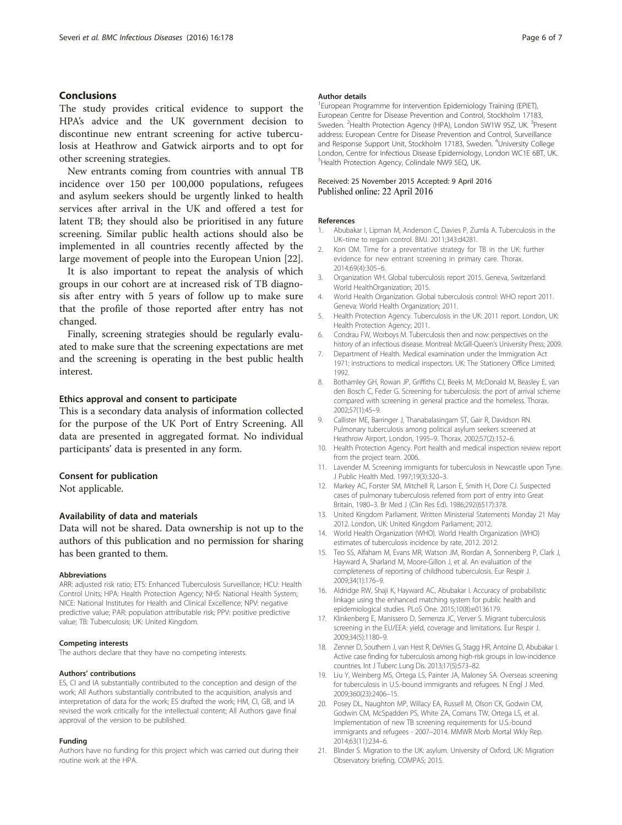### <span id="page-5-0"></span>Conclusions

The study provides critical evidence to support the HPA's advice and the UK government decision to discontinue new entrant screening for active tuberculosis at Heathrow and Gatwick airports and to opt for other screening strategies.

New entrants coming from countries with annual TB incidence over 150 per 100,000 populations, refugees and asylum seekers should be urgently linked to health services after arrival in the UK and offered a test for latent TB; they should also be prioritised in any future screening. Similar public health actions should also be implemented in all countries recently affected by the large movement of people into the European Union [\[22](#page-6-0)].

It is also important to repeat the analysis of which groups in our cohort are at increased risk of TB diagnosis after entry with 5 years of follow up to make sure that the profile of those reported after entry has not changed.

Finally, screening strategies should be regularly evaluated to make sure that the screening expectations are met and the screening is operating in the best public health interest.

#### Ethics approval and consent to participate

This is a secondary data analysis of information collected for the purpose of the UK Port of Entry Screening. All data are presented in aggregated format. No individual participants' data is presented in any form.

#### Consent for publication

Not applicable.

# Availability of data and materials

Data will not be shared. Data ownership is not up to the authors of this publication and no permission for sharing has been granted to them.

#### Abbreviations

ARR: adjusted risk ratio; ETS: Enhanced Tuberculosis Surveillance; HCU: Health Control Units; HPA: Health Protection Agency; NHS: National Health System; NICE: National Institutes for Health and Clinical Excellence; NPV: negative predictive value; PAR: population attributable risk; PPV: positive predictive value; TB: Tuberculosis; UK: United Kingdom.

#### Competing interests

The authors declare that they have no competing interests.

#### Authors' contributions

ES, CI and IA substantially contributed to the conception and design of the work; All Authors substantially contributed to the acquisition, analysis and interpretation of data for the work; ES drafted the work; HM, CI, GB, and IA revised the work critically for the intellectual content; All Authors gave final approval of the version to be published.

#### Funding

Authors have no funding for this project which was carried out during their routine work at the HPA.

#### Author details

<sup>1</sup> European Programme for Intervention Epidemiology Training (EPIET) European Centre for Disease Prevention and Control, Stockholm 17183, Sweden. <sup>2</sup>Health Protection Agency (HPA), London SW1W 9SZ, UK. <sup>3</sup>Present address: European Centre for Disease Prevention and Control, Surveillance and Response Support Unit, Stockholm 17183, Sweden. <sup>4</sup>University College London, Centre for Infectious Disease Epidemiology, London WC1E 6BT, UK. 5 Health Protection Agency, Colindale NW9 5EQ, UK.

#### Received: 25 November 2015 Accepted: 9 April 2016 Published online: 22 April 2016

#### References

- 1. Abubakar I, Lipman M, Anderson C, Davies P, Zumla A. Tuberculosis in the UK–time to regain control. BMJ. 2011;343:d4281.
- 2. Kon OM. Time for a preventative strategy for TB in the UK: further evidence for new entrant screening in primary care. Thorax. 2014;69(4):305–6.
- 3. Organization WH. Global tuberculosis report 2015. Geneva, Switzerland: World HealthOrganization; 2015.
- 4. World Health Organization. Global tuberculosis control: WHO report 2011. Geneva: World Health Organization; 2011.
- 5. Health Protection Agency. Tuberculosis in the UK: 2011 report. London, UK: Health Protection Agency; 2011.
- 6. Condrau FW, Worboys M. Tuberculosis then and now: perspectives on the history of an infectious disease. Montreal: McGill-Queen's University Press; 2009.
- 7. Department of Health. Medical examination under the Immigration Act 1971: instructions to medical inspectors. UK: The Stationery Office Limited; 1992.
- 8. Bothamley GH, Rowan JP, Griffiths CJ, Beeks M, McDonald M, Beasley E, van den Bosch C, Feder G. Screening for tuberculosis: the port of arrival scheme compared with screening in general practice and the homeless. Thorax. 2002;57(1):45–9.
- 9. Callister ME, Barringer J, Thanabalasingam ST, Gair R, Davidson RN. Pulmonary tuberculosis among political asylum seekers screened at Heathrow Airport, London, 1995–9. Thorax. 2002;57(2):152–6.
- 10. Health Protection Agency. Port health and medical inspection review report from the project team. 2006.
- 11. Lavender M. Screening immigrants for tuberculosis in Newcastle upon Tyne. J Public Health Med. 1997;19(3):320–3.
- 12. Markey AC, Forster SM, Mitchell R, Larson E, Smith H, Dore CJ. Suspected cases of pulmonary tuberculosis referred from port of entry into Great Britain, 1980–3. Br Med J (Clin Res Ed). 1986;292(6517):378.
- 13. United Kingdom Parliament. Written Ministerial Statements Monday 21 May 2012. London, UK: United Kingdom Parliament; 2012.
- 14. World Health Organization (WHO). World Health Organization (WHO) estimates of tuberculosis incidence by rate, 2012. 2012.
- 15. Teo SS, Alfaham M, Evans MR, Watson JM, Riordan A, Sonnenberg P, Clark J, Hayward A, Sharland M, Moore-Gillon J, et al. An evaluation of the completeness of reporting of childhood tuberculosis. Eur Respir J. 2009;34(1):176–9.
- 16. Aldridge RW, Shaji K, Hayward AC, Abubakar I. Accuracy of probabilistic linkage using the enhanced matching system for public health and epidemiological studies. PLoS One. 2015;10(8):e0136179.
- 17. Klinkenberg E, Manissero D, Semenza JC, Verver S. Migrant tuberculosis screening in the EU/EEA: yield, coverage and limitations. Eur Respir J. 2009;34(5):1180–9.
- 18. Zenner D, Southern J, van Hest R, DeVries G, Stagg HR, Antoine D, Abubakar I. Active case finding for tuberculosis among high-risk groups in low-incidence countries. Int J Tuberc Lung Dis. 2013;17(5):573–82.
- 19. Liu Y, Weinberg MS, Ortega LS, Painter JA, Maloney SA. Overseas screening for tuberculosis in U.S.-bound immigrants and refugees. N Engl J Med. 2009;360(23):2406–15.
- 20. Posey DL, Naughton MP, Willacy EA, Russell M, Olson CK, Godwin CM, Godwin CM, McSpadden PS, White ZA, Comans TW, Ortega LS, et al. Implementation of new TB screening requirements for U.S.-bound immigrants and refugees - 2007–2014. MMWR Morb Mortal Wkly Rep. 2014;63(11):234–6.
- 21. Blinder S. Migration to the UK: asylum. University of Oxford, UK: Migration Observatory briefing, COMPAS; 2015.